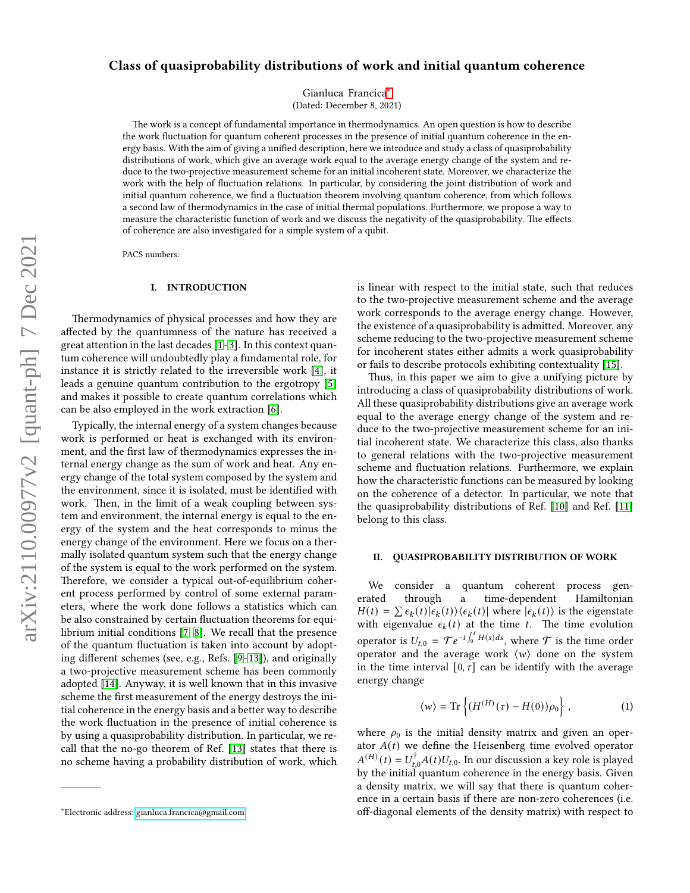# Class of quasiprobability distributions of work and initial quantum coherence

Gianluca Francica[∗](#page-0-0)

(Dated: December 8, 2021)

The work is a concept of fundamental importance in thermodynamics. An open question is how to describe the work fluctuation for quantum coherent processes in the presence of initial quantum coherence in the energy basis. With the aim of giving a unified description, here we introduce and study a class of quasiprobability distributions of work, which give an average work equal to the average energy change of the system and reduce to the two-projective measurement scheme for an initial incoherent state. Moreover, we characterize the work with the help of fluctuation relations. In particular, by considering the joint distribution of work and initial quantum coherence, we find a fluctuation theorem involving quantum coherence, from which follows a second law of thermodynamics in the case of initial thermal populations. Furthermore, we propose a way to measure the characteristic function of work and we discuss the negativity of the quasiprobability. The effects of coherence are also investigated for a simple system of a qubit.

PACS numbers:

## I. INTRODUCTION

Thermodynamics of physical processes and how they are affected by the quantumness of the nature has received a great attention in the last decades  $[1-3]$  $[1-3]$ . In this context quantum coherence will undoubtedly play a fundamental role, for instance it is strictly related to the irreversible work [\[4\]](#page-3-2), it leads a genuine quantum contribution to the ergotropy [\[5\]](#page-3-3) and makes it possible to create quantum correlations which can be also employed in the work extraction [\[6\]](#page-3-4).

Typically, the internal energy of a system changes because work is performed or heat is exchanged with its environment, and the first law of thermodynamics expresses the internal energy change as the sum of work and heat. Any energy change of the total system composed by the system and the environment, since it is isolated, must be identified with work. Then, in the limit of a weak coupling between system and environment, the internal energy is equal to the energy of the system and the heat corresponds to minus the energy change of the environment. Here we focus on a thermally isolated quantum system such that the energy change of the system is equal to the work performed on the system. Therefore, we consider a typical out-of-equilibrium coherent process performed by control of some external parameters, where the work done follows a statistics which can be also constrained by certain fluctuation theorems for equilibrium initial conditions [\[7,](#page-3-5) [8\]](#page-3-6). We recall that the presence of the quantum fluctuation is taken into account by adopting different schemes (see, e.g., Refs.  $[9-13]$  $[9-13]$ ), and originally a two-projective measurement scheme has been commonly adopted [\[14\]](#page-3-9). Anyway, it is well known that in this invasive scheme the first measurement of the energy destroys the initial coherence in the energy basis and a better way to describe the work fluctuation in the presence of initial coherence is by using a quasiprobability distribution. In particular, we recall that the no-go theorem of Ref. [\[13\]](#page-3-8) states that there is no scheme having a probability distribution of work, which is linear with respect to the initial state, such that reduces to the two-projective measurement scheme and the average work corresponds to the average energy change. However, the existence of a quasiprobability is admitted. Moreover, any scheme reducing to the two-projective measurement scheme for incoherent states either admits a work quasiprobability or fails to describe protocols exhibiting contextuality [\[15\]](#page-3-10).

Thus, in this paper we aim to give a unifying picture by introducing a class of quasiprobability distributions of work. All these quasiprobability distributions give an average work equal to the average energy change of the system and reduce to the two-projective measurement scheme for an initial incoherent state. We characterize this class, also thanks to general relations with the two-projective measurement scheme and fluctuation relations. Furthermore, we explain how the characteristic functions can be measured by looking on the coherence of a detector. In particular, we note that the quasiprobability distributions of Ref. [\[10\]](#page-3-11) and Ref. [\[11\]](#page-3-12) belong to this class.

## II. QUASIPROBABILITY DISTRIBUTION OF WORK

We consider a quantum coherent process generated through a time-dependent Hamiltonian  $H(t) = \sum \epsilon_k(t) |\epsilon_k(t)\rangle \langle \epsilon_k(t)|$  where  $|\epsilon_k(t)\rangle$  is the eigenstate with eigenvalue  $\epsilon_k(t)$  at the time t. The time evolution operator is  $U_{t,0} = \mathcal{T}e^{-i\int_0^t H(s)ds}$ , where  $\mathcal{T}$  is the time order operator and the average work  $\langle w \rangle$  done on the system in the time interval  $[0, \tau]$  can be identify with the average energy change

$$
\langle w \rangle = \text{Tr}\left\{ (H^{(H)}(\tau) - H(0)) \rho_0 \right\},\tag{1}
$$

where  $\rho_0$  is the initial density matrix and given an operator  $A(t)$  we define the Heisenberg time evolved operator  $A^{(H)}(t) = U_{t,0}^{\dagger} A(t) U_{t,0}.$  In our discussion a key role is played by the initial quantum coherence in the energy basis. Given a density matrix, we will say that there is quantum coherence in a certain basis if there are non-zero coherences (i.e. off-diagonal elements of the density matrix) with respect to

<span id="page-0-0"></span><sup>∗</sup>Electronic address: [gianluca.francica@gmail.com](mailto:gianluca.francica@gmail.com)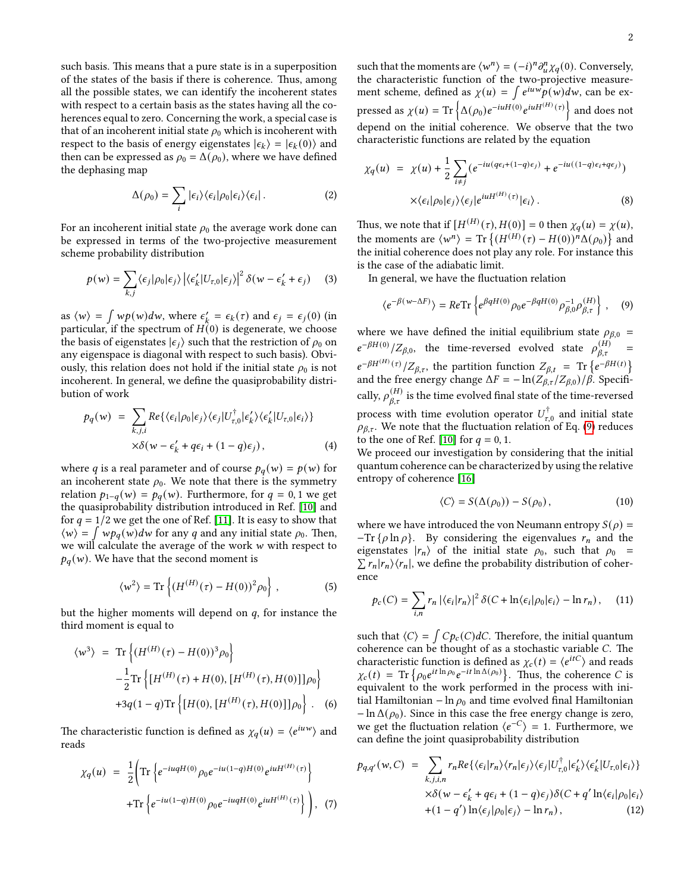such basis. This means that a pure state is in a superposition of the states of the basis if there is coherence. Thus, among all the possible states, we can identify the incoherent states with respect to a certain basis as the states having all the coherences equal to zero. Concerning the work, a special case is that of an incoherent initial state  $\rho_0$  which is incoherent with respect to the basis of energy eigenstates  $| \epsilon_k \rangle = | \epsilon_k(0) \rangle$  and then can be expressed as  $\rho_0 = \Delta(\rho_0)$ , where we have defined the dephasing map

$$
\Delta(\rho_0) = \sum_i |\epsilon_i\rangle\langle\epsilon_i|\rho_0|\epsilon_i\rangle\langle\epsilon_i|.
$$
 (2)

For an incoherent initial state  $\rho_0$  the average work done can be expressed in terms of the two-projective measurement scheme probability distribution

$$
p(w) = \sum_{k,j} \langle \epsilon_j | \rho_0 | \epsilon_j \rangle \left| \langle \epsilon'_k | U_{\tau,0} | \epsilon_j \rangle \right|^2 \delta(w - \epsilon'_k + \epsilon_j) \tag{3}
$$

as  $\langle w \rangle = \int w p(w) dw$ , where  $\epsilon'_{k} = \epsilon_{k}(\tau)$  and  $\epsilon_{j} = \epsilon_{j}(0)$  (in particular, if the spectrum of  $H(0)$  is degenerate, we choose the basis of eigenstates  $|\epsilon_i\rangle$  such that the restriction of  $\rho_0$  on any eigenspace is diagonal with respect to such basis). Obviously, this relation does not hold if the initial state  $\rho_0$  is not incoherent. In general, we define the quasiprobability distribution of work

$$
p_q(w) = \sum_{k,j,i} Re\{\langle \epsilon_i | \rho_0 | \epsilon_j \rangle \langle \epsilon_j | U_{\tau,0}^{\dagger} | \epsilon_k' \rangle \langle \epsilon_k' | U_{\tau,0} | \epsilon_i \rangle \} \times \delta(w - \epsilon_k' + q\epsilon_i + (1 - q)\epsilon_j),
$$
\n(4)

where q is a real parameter and of course  $p_q(w) = p(w)$  for an incoherent state  $\rho_0$ . We note that there is the symmetry relation  $p_{1-q}(w) = p_q(w)$ . Furthermore, for  $q = 0, 1$  we get the quasiprobability distribution introduced in Ref. [\[10\]](#page-3-11) and for  $q = 1/2$  we get the one of Ref. [\[11\]](#page-3-12). It is easy to show that  $\langle w \rangle = \int w p_q(w) dw$  for any q and any initial state  $\rho_0$ . Then, we will calculate the average of the work  $w$  with respect to  $p_q(w)$ . We have that the second moment is

$$
\langle w^2 \rangle = \text{Tr} \left\{ (H^{(H)}(\tau) - H(0))^2 \rho_0 \right\},
$$
 (5)

but the higher moments will depend on  $q$ , for instance the third moment is equal to

$$
\langle w^3 \rangle = \text{Tr} \left\{ (H^{(H)}(\tau) - H(0))^3 \rho_0 \right\} - \frac{1}{2} \text{Tr} \left\{ [H^{(H)}(\tau) + H(0), [H^{(H)}(\tau), H(0)]] \rho_0 \right\} + 3q(1-q) \text{Tr} \left\{ [H(0), [H^{(H)}(\tau), H(0)]] \rho_0 \right\} .
$$
 (6)

The characteristic function is defined as  $\chi_q(u) = \langle e^{iuw} \rangle$  and reads

$$
\chi_q(u) = \frac{1}{2} \Biggl( \operatorname{Tr} \Biggl\{ e^{-iuqH(0)} \rho_0 e^{-iu(1-q)H(0)} e^{iuH^{(H)}(\tau)} \Biggr\} + \operatorname{Tr} \Biggl\{ e^{-iu(1-q)H(0)} \rho_0 e^{-iuqH(0)} e^{iuH^{(H)}(\tau)} \Biggr\} \Biggr), \tag{7}
$$

such that the moments are  $\langle w^n \rangle = (-i)^n \partial_u^n \chi_q(0)$ . Conversely, the characteristic function of the two-projective measurement scheme, defined as  $\chi(u) = \int e^{iuw} p(w) dw$ , can be expressed as  $\chi(u) = \text{Tr}\left\{ \Delta(\rho_0) e^{-iuH(0)} e^{iuH^{(H)}(\tau)} \right\}$  and does not depend on the initial coherence. We observe that the two characteristic functions are related by the equation

$$
\chi_q(u) = \chi(u) + \frac{1}{2} \sum_{i \neq j} (e^{-iu(q\epsilon_i + (1-q)\epsilon_j)} + e^{-iu((1-q)\epsilon_i + q\epsilon_j)})
$$

$$
\times \langle \epsilon_i | \rho_0 | \epsilon_j \rangle \langle \epsilon_j | e^{iuH^{(H)}(\tau)} | \epsilon_i \rangle. \tag{8}
$$

Thus, we note that if  $[H^{(H)}(\tau), H(0)] = 0$  then  $\chi_q(u) = \chi(u)$ , the moments are  $\langle w^n \rangle = \text{Tr} \left\{ (H^{(H)}(\tau) - H(0))^n \Delta(\rho_0) \right\}$  and the initial coherence does not play any role. For instance this is the case of the adiabatic limit.

In general, we have the fluctuation relation

<span id="page-1-0"></span>
$$
\langle e^{-\beta(w-\Delta F)} \rangle = Re \text{Tr} \left\{ e^{\beta q H(0)} \rho_0 e^{-\beta q H(0)} \rho_{\beta,0}^{-1} \rho_{\beta,\tau}^{(H)} \right\}, \quad (9)
$$

where we have defined the initial equilibrium state  $\rho_{\beta,0}$  =  $e^{-\beta H(0)} / Z_{\beta,0}$ , the time-reversed evolved state  $\rho_{\beta,\tau}^{(H)}$  =  $e^{-\beta H^{(H)}(\tau)}/Z_{\beta,\tau}$ , the partition function  $Z_{\beta,t}$  = Tr  $\{e^{-\beta H(t)}\}$ and the free energy change  $\Delta F = -\ln(Z_{\beta,\tau}/Z_{\beta,0})/\beta$ . Specifically,  $\rho_{\beta,\tau}^{(H)}$  is the time evolved final state of the time-reversed process with time evolution operator  $U_{\tau,0}^\dagger$  and initial state  $\rho_{\beta,\tau}$ . We note that the fluctuation relation of Eq. [\(9\)](#page-1-0) reduces to the one of Ref. [\[10\]](#page-3-11) for  $q = 0, 1$ .

We proceed our investigation by considering that the initial quantum coherence can be characterized by using the relative entropy of coherence [\[16\]](#page-3-13)

$$
\langle C \rangle = S(\Delta(\rho_0)) - S(\rho_0), \qquad (10)
$$

where we have introduced the von Neumann entropy  $S(\rho)$  =  $-Tr$  { $\rho$  ln  $\rho$ }. By considering the eigenvalues  $r_n$  and the eigenstates  $|r_n\rangle$  of the initial state  $\rho_0$ , such that  $\rho_0$  =  $\sum r_n |r_n\rangle\langle r_n|$ , we define the probability distribution of coherence

$$
p_c(C) = \sum_{i,n} r_n |\langle \epsilon_i | r_n \rangle|^2 \, \delta(C + \ln \langle \epsilon_i | \rho_0 | \epsilon_i \rangle - \ln r_n), \quad (11)
$$

such that  $\langle C \rangle = \int C p_c(C) dC$ . Therefore, the initial quantum coherence can be thought of as a stochastic variable  $C$ . The characteristic function is defined as  $\chi_c(t) = \langle e^{itC} \rangle$  and reads  $\chi_c(t) = \text{Tr} \left\{ \rho_0 e^{it \ln \rho_0} e^{-it \ln \Delta(\rho_0)} \right\}$ . Thus, the coherence C is equivalent to the work performed in the process with initial Hamiltonian − ln  $\rho_0$  and time evolved final Hamiltonian  $-\ln \Delta(\rho_0)$ . Since in this case the free energy change is zero, we get the fluctuation relation  $\langle e^{-C} \rangle = 1$ . Furthermore, we can define the joint quasiprobability distribution

$$
p_{q,q'}(w,C) = \sum_{k,j,i,n} r_n Re\{\langle \epsilon_i | r_n \rangle \langle r_n | \epsilon_j \rangle \langle \epsilon_j | U_{\tau,0}^{\dagger} | \epsilon_k' \rangle \langle \epsilon_k' | U_{\tau,0} | \epsilon_i \rangle \} \times \delta(w - \epsilon_k' + q\epsilon_i + (1 - q)\epsilon_j) \delta(C + q' ln \langle \epsilon_i | \rho_0 | \epsilon_i \rangle + (1 - q') ln \langle \epsilon_j | \rho_0 | \epsilon_j \rangle - ln r_n),
$$
(12)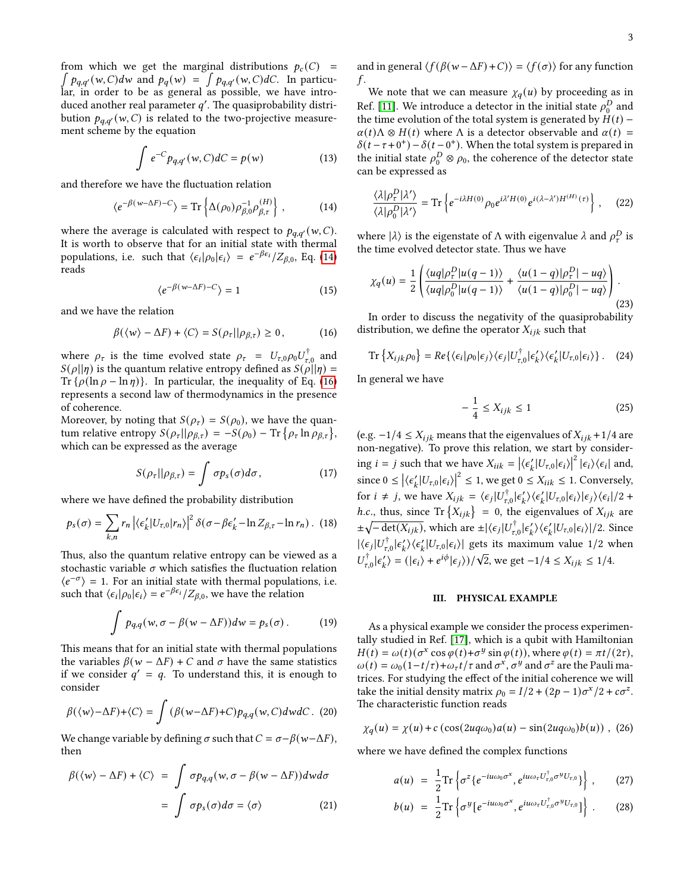$\int p_{q,q'}(w,C)dw$  and  $p_q(w) = \int p_{q,q'}(w,C)dC$ . In particufrom which we get the marginal distributions  $p_c(C)$  = lar, in order to be as general as possible, we have introduced another real parameter  $q'$ . The quasiprobability distribution  $p_{q,q'}(w,C)$  is related to the two-projective measurement scheme by the equation

$$
\int e^{-C} p_{q,q'}(w,C) dC = p(w)
$$
 (13)

and therefore we have the fluctuation relation

<span id="page-2-0"></span>
$$
\langle e^{-\beta(w-\Delta F)-C}\rangle = \text{Tr}\left\{\Delta(\rho_0)\rho_{\beta,0}^{-1}\rho_{\beta,\tau}^{(H)}\right\},\qquad(14)
$$

where the average is calculated with respect to  $p_{q,q'}(w,C)$ . It is worth to observe that for an initial state with thermal populations, i.e. such that  $\langle \epsilon_i | \rho_0 | \epsilon_i \rangle = e^{-\beta \epsilon_i} / Z_{\beta,0}$ , Eq. [\(14\)](#page-2-0) reads

$$
\langle e^{-\beta(w-\Delta F)-C}\rangle = 1\tag{15}
$$

and we have the relation

<span id="page-2-1"></span>
$$
\beta(\langle w \rangle - \Delta F) + \langle C \rangle = S(\rho_{\tau} || \rho_{\beta, \tau}) \ge 0, \quad (16)
$$

where  $\rho_{\tau}$  is the time evolved state  $\rho_{\tau} = U_{\tau,0} \rho_0 U_{\tau,0}^{\dagger}$  and  $S(\rho||\eta)$  is the quantum relative entropy defined as  $S(\rho||\eta) =$ Tr  $\{\rho(\ln \rho - \ln \eta)\}\$ . In particular, the inequality of Eq. [\(16\)](#page-2-1) represents a second law of thermodynamics in the presence of coherence.

Moreover, by noting that  $S(\rho_{\tau}) = S(\rho_0)$ , we have the quantum relative entropy  $S(\rho_{\tau}|| \rho_{\beta,\tau}) = -S(\rho_0) - \text{Tr} \{\rho_{\tau} \ln \rho_{\beta,\tau}\},$ which can be expressed as the average

$$
S(\rho_{\tau}||\rho_{\beta,\tau}) = \int \sigma p_s(\sigma) d\sigma, \qquad (17)
$$

where we have defined the probability distribution

$$
p_s(\sigma) = \sum_{k,n} r_n \left| \langle \epsilon'_k | U_{\tau,0} | r_n \rangle \right|^2 \delta(\sigma - \beta \epsilon'_k - \ln Z_{\beta,\tau} - \ln r_n). \tag{18}
$$

Thus, also the quantum relative entropy can be viewed as a stochastic variable  $\sigma$  which satisfies the fluctuation relation  $\langle e^{-\sigma} \rangle = 1$ . For an initial state with thermal populations, i.e. such that  $\langle \epsilon_i | \rho_0 | \epsilon_i \rangle = e^{-\beta \epsilon_i} / Z_{\beta,0}$ , we have the relation

$$
\int p_{q,q}(w, \sigma - \beta(w - \Delta F))dw = p_s(\sigma).
$$
 (19)

This means that for an initial state with thermal populations the variables  $\beta(w - \Delta F) + C$  and  $\sigma$  have the same statistics if we consider  $q' = q$ . To understand this, it is enough to consider

$$
\beta(\langle w \rangle - \Delta F) + \langle C \rangle = \int (\beta(w - \Delta F) + C) p_{q,q}(w, C) dwdC.
$$
 (20)

We change variable by defining  $\sigma$  such that  $C = \sigma - \beta(w - \Delta F)$ , then

$$
\beta(\langle w \rangle - \Delta F) + \langle C \rangle = \int \sigma p_{q,q}(w, \sigma - \beta(w - \Delta F)) dw d\sigma
$$

$$
= \int \sigma p_s(\sigma) d\sigma = \langle \sigma \rangle \tag{21}
$$

and in general  $\langle f(\beta(w - \Delta F) + C)\rangle = \langle f(\sigma) \rangle$  for any function  $f$ .

We note that we can measure  $\chi_q(u)$  by proceeding as in Ref. [\[11\]](#page-3-12). We introduce a detector in the initial state  $\rho_0^D$  $\frac{D}{0}$  and the time evolution of the total system is generated by  $H(t)$  –  $\alpha(t)\Lambda \otimes H(t)$  where  $\Lambda$  is a detector observable and  $\alpha(t)$  =  $\delta(t-\tau+0^+)-\delta(t-0^+)$ . When the total system is prepared in the initial state  $\rho_0^D \otimes \rho_0$ , the coherence of the detector state can be expressed as

$$
\frac{\langle \lambda | \rho_\tau^D | \lambda' \rangle}{\langle \lambda | \rho_0^D | \lambda' \rangle} = \text{Tr} \left\{ e^{-i\lambda H(0)} \rho_0 e^{i\lambda' H(0)} e^{i(\lambda - \lambda') H^{(H)}(\tau)} \right\}, \quad (22)
$$

where  $|\lambda\rangle$  is the eigenstate of  $\Lambda$  with eigenvalue  $\lambda$  and  $\rho_{\tau}^D$  is the time evolved detector state. Thus we have

$$
\chi_q(u) = \frac{1}{2} \left( \frac{\langle uq | \rho_\tau^D | u(q-1) \rangle}{\langle uq | \rho_0^D | u(q-1) \rangle} + \frac{\langle u(1-q) | \rho_\tau^D | - uq \rangle}{\langle u(1-q) | \rho_0^D | - uq \rangle} \right). \tag{23}
$$

In order to discuss the negativity of the quasiprobability distribution, we define the operator  $X_{ijk}$  such that

$$
\operatorname{Tr}\left\{X_{ijk}\rho_0\right\} = Re\left\{\langle\epsilon_i|\rho_0|\epsilon_j\rangle\langle\epsilon_j|U_{\tau,0}^\dagger|\epsilon_k'\rangle\langle\epsilon_k'|U_{\tau,0}|\epsilon_i\rangle\right\}.\tag{24}
$$

In general we have

$$
-\frac{1}{4} \le X_{ijk} \le 1\tag{25}
$$

(e.g.  $−1/4 \le X_{ijk}$  means that the eigenvalues of  $X_{ijk} + 1/4$  are non-negative). To prove this relation, we start by considering  $i = j$  such that we have  $X_{iik} = |\langle \epsilon'_k | U_{\tau,0} | \epsilon_i \rangle|^2 |\epsilon_i \rangle \langle \epsilon_i|$  and, since  $0 \leq |\langle \epsilon'_k | U_{\tau,0} | \epsilon_i \rangle|^2 \leq 1$ , we get  $0 \leq X_{iik} \leq 1$ . Conversely, for  $i \neq j$ , we have  $X_{ijk} = \langle \epsilon_j | U_{\tau,0}^{\dagger} | \epsilon_k' \rangle \langle \epsilon_k' | U_{\tau,0} | \epsilon_i \rangle | \epsilon_j \rangle \langle \epsilon_i | / 2 + \epsilon_j$ *h.c.*, thus, since Tr  ${X_{ijk}} = 0$ , the eigenvalues of  $X_{ijk}$  are  $\pm \sqrt{-\det(X_{ijk})}$ , which are  $\pm |\langle \epsilon_j | U_{\tau,0}^{\dagger} | \epsilon_k' \rangle \langle \epsilon_k' | U_{\tau,0} | \epsilon_i \rangle | / 2$ . Since  $|\langle \epsilon_j | U_{\tau,0}^{\dagger} | \epsilon_k' \rangle \langle \epsilon_k' | U_{\tau,0} | \epsilon_i \rangle|$  gets its maximum value 1/2 when  $U_{\tau,0}^{\dagger} | \epsilon'_k \rangle = (|\epsilon_i\rangle + e^{i\phi} |\epsilon_j\rangle) / \sqrt{2}$ , we get  $-1/4 \le X_{ijk} \le 1/4$ .

#### III. PHYSICAL EXAMPLE

As a physical example we consider the process experimentally studied in Ref. [\[17\]](#page-3-14), which is a qubit with Hamiltonian  $H(t) = \omega(t) (\sigma^x \cos \varphi(t) + \sigma^y \sin \varphi(t)),$  where  $\varphi(t) = \pi t/(2\tau),$  $\omega(t) = \omega_0 (1 - t/\tau) + \omega_\tau t/\tau$  and  $\sigma^x$ ,  $\sigma^y$  and  $\sigma^z$  are the Pauli matrices. For studying the effect of the initial coherence we will take the initial density matrix  $\rho_0 = I/2 + (2p - 1)\sigma^x/2 + c\sigma^z$ . The characteristic function reads

$$
\chi_q(u) = \chi(u) + c \left( \cos(2uq\omega_0)a(u) - \sin(2uq\omega_0)b(u) \right), \tag{26}
$$

where we have defined the complex functions

$$
a(u) = \frac{1}{2} \text{Tr} \left\{ \sigma^z \{ e^{-iu\omega_0 \sigma^x}, e^{iu\omega_\tau U_{\tau,0}^\dagger \sigma^y U_{\tau,0}} \} \right\}, \qquad (27)
$$

$$
b(u) = \frac{1}{2} \text{Tr} \left\{ \sigma^y \left[ e^{-i u \omega_0 \sigma^x}, e^{i u \omega_\tau U_{\tau,0}^\dagger \sigma^y U_{\tau,0}} \right] \right\} \,. \tag{28}
$$